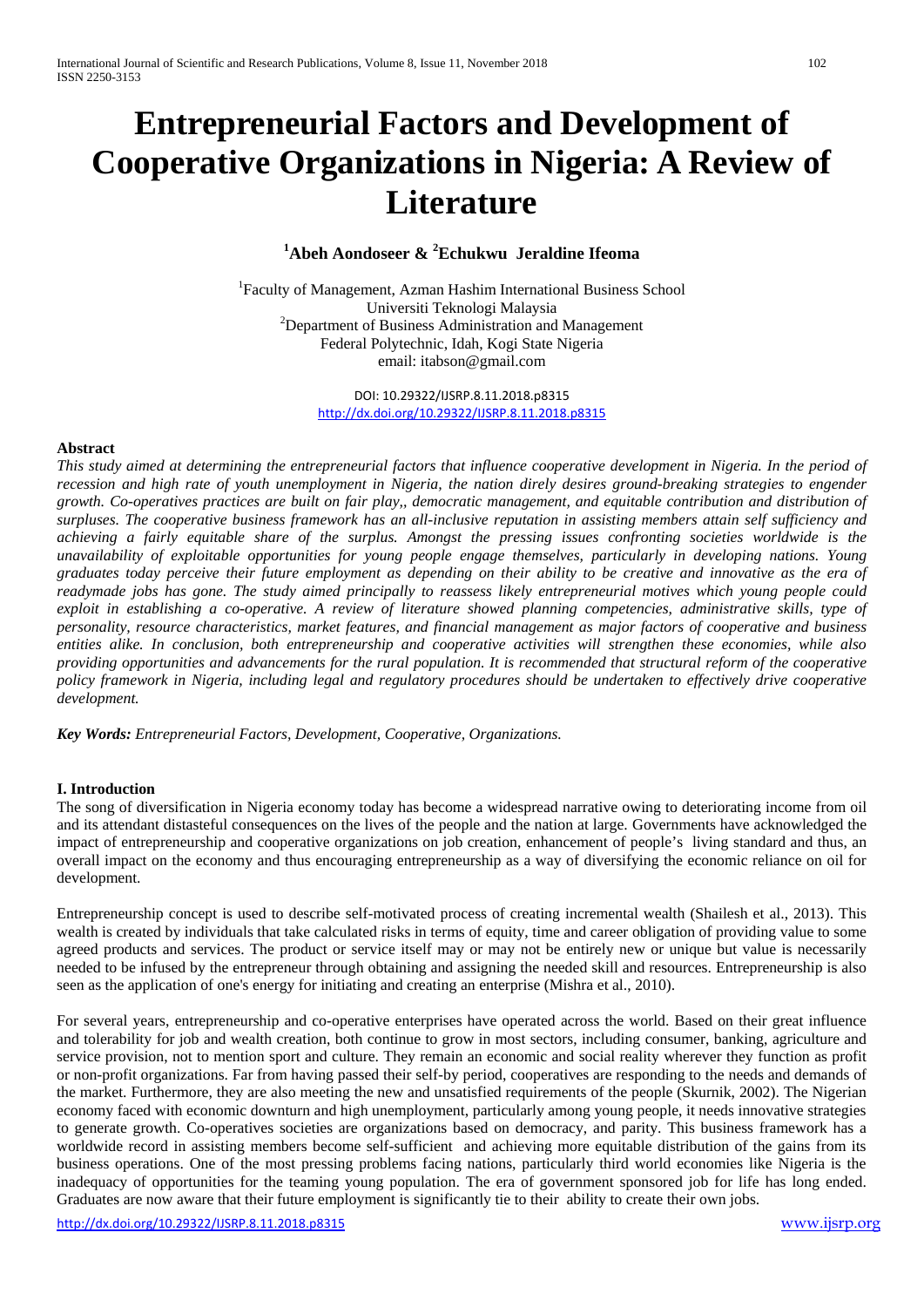# **Entrepreneurial Factors and Development of Cooperative Organizations in Nigeria: A Review of Literature**

# **1 Abeh Aondoseer & <sup>2</sup> Echukwu Jeraldine Ifeoma**

<sup>1</sup>Faculty of Management, Azman Hashim International Business School Universiti Teknologi Malaysia <sup>2</sup> <sup>2</sup>Department of Business Administration and Management Federal Polytechnic, Idah, Kogi State Nigeria email: itabson@gmail.com

> DOI: 10.29322/IJSRP.8.11.2018.p8315 <http://dx.doi.org/10.29322/IJSRP.8.11.2018.p8315>

## **Abstract**

*This study aimed at determining the entrepreneurial factors that influence cooperative development in Nigeria. In the period of recession and high rate of youth unemployment in Nigeria, the nation direly desires ground-breaking strategies to engender growth. Co-operatives practices are built on fair play,, democratic management, and equitable contribution and distribution of surpluses. The cooperative business framework has an all-inclusive reputation in assisting members attain self sufficiency and achieving a fairly equitable share of the surplus. Amongst the pressing issues confronting societies worldwide is the unavailability of exploitable opportunities for young people engage themselves, particularly in developing nations. Young graduates today perceive their future employment as depending on their ability to be creative and innovative as the era of readymade jobs has gone. The study aimed principally to reassess likely entrepreneurial motives which young people could exploit in establishing a co-operative. A review of literature showed planning competencies, administrative skills, type of personality, resource characteristics, market features, and financial management as major factors of cooperative and business entities alike. In conclusion, both entrepreneurship and cooperative activities will strengthen these economies, while also providing opportunities and advancements for the rural population. It is recommended that structural reform of the cooperative policy framework in Nigeria, including legal and regulatory procedures should be undertaken to effectively drive cooperative development.*

*Key Words: Entrepreneurial Factors, Development, Cooperative, Organizations.*

#### **I. Introduction**

The song of diversification in Nigeria economy today has become a widespread narrative owing to deteriorating income from oil and its attendant distasteful consequences on the lives of the people and the nation at large. Governments have acknowledged the impact of entrepreneurship and cooperative organizations on job creation, enhancement of people's living standard and thus, an overall impact on the economy and thus encouraging entrepreneurship as a way of diversifying the economic reliance on oil for development.

Entrepreneurship concept is used to describe self-motivated process of creating incremental wealth (Shailesh et al., 2013). This wealth is created by individuals that take calculated risks in terms of equity, time and career obligation of providing value to some agreed products and services. The product or service itself may or may not be entirely new or unique but value is necessarily needed to be infused by the entrepreneur through obtaining and assigning the needed skill and resources. Entrepreneurship is also seen as the application of one's energy for initiating and creating an enterprise (Mishra et al., 2010).

For several years, entrepreneurship and co-operative enterprises have operated across the world. Based on their great influence and tolerability for job and wealth creation, both continue to grow in most sectors, including consumer, banking, agriculture and service provision, not to mention sport and culture. They remain an economic and social reality wherever they function as profit or non-profit organizations. Far from having passed their self-by period, cooperatives are responding to the needs and demands of the market. Furthermore, they are also meeting the new and unsatisfied requirements of the people (Skurnik, 2002). The Nigerian economy faced with economic downturn and high unemployment, particularly among young people, it needs innovative strategies to generate growth. Co-operatives societies are organizations based on democracy, and parity. This business framework has a worldwide record in assisting members become self-sufficient and achieving more equitable distribution of the gains from its business operations. One of the most pressing problems facing nations, particularly third world economies like Nigeria is the inadequacy of opportunities for the teaming young population. The era of government sponsored job for life has long ended. Graduates are now aware that their future employment is significantly tie to their ability to create their own jobs.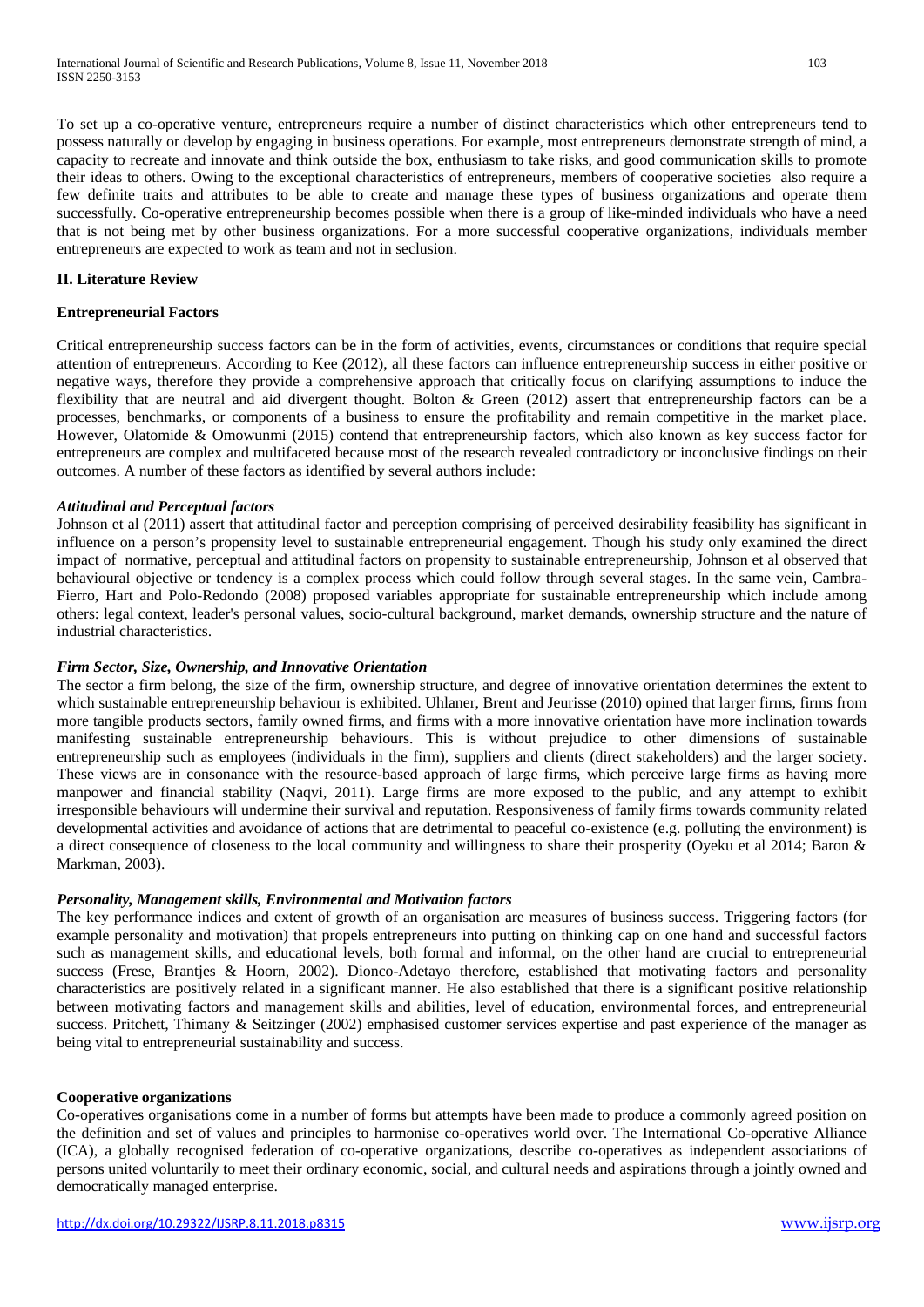To set up a co-operative venture, entrepreneurs require a number of distinct characteristics which other entrepreneurs tend to possess naturally or develop by engaging in business operations. For example, most entrepreneurs demonstrate strength of mind, a capacity to recreate and innovate and think outside the box, enthusiasm to take risks, and good communication skills to promote their ideas to others. Owing to the exceptional characteristics of entrepreneurs, members of cooperative societies also require a few definite traits and attributes to be able to create and manage these types of business organizations and operate them successfully. Co-operative entrepreneurship becomes possible when there is a group of like-minded individuals who have a need that is not being met by other business organizations. For a more successful cooperative organizations, individuals member entrepreneurs are expected to work as team and not in seclusion.

#### **II. Literature Review**

### **Entrepreneurial Factors**

Critical entrepreneurship success factors can be in the form of activities, events, circumstances or conditions that require special attention of entrepreneurs. According to Kee (2012), all these factors can influence entrepreneurship success in either positive or negative ways, therefore they provide a comprehensive approach that critically focus on clarifying assumptions to induce the flexibility that are neutral and aid divergent thought. Bolton & Green (2012) assert that entrepreneurship factors can be a processes, benchmarks, or components of a business to ensure the profitability and remain competitive in the market place. However, Olatomide & Omowunmi (2015) contend that entrepreneurship factors, which also known as key success factor for entrepreneurs are complex and multifaceted because most of the research revealed contradictory or inconclusive findings on their outcomes. A number of these factors as identified by several authors include:

#### *Attitudinal and Perceptual factors*

Johnson et al (2011) assert that attitudinal factor and perception comprising of perceived desirability feasibility has significant in influence on a person's propensity level to sustainable entrepreneurial engagement. Though his study only examined the direct impact of normative, perceptual and attitudinal factors on propensity to sustainable entrepreneurship, Johnson et al observed that behavioural objective or tendency is a complex process which could follow through several stages. In the same vein, Cambra-Fierro, Hart and Polo-Redondo (2008) proposed variables appropriate for sustainable entrepreneurship which include among others: legal context, leader's personal values, socio-cultural background, market demands, ownership structure and the nature of industrial characteristics.

#### *Firm Sector, Size, Ownership, and Innovative Orientation*

The sector a firm belong, the size of the firm, ownership structure, and degree of innovative orientation determines the extent to which sustainable entrepreneurship behaviour is exhibited. Uhlaner, Brent and Jeurisse (2010) opined that larger firms, firms from more tangible products sectors, family owned firms, and firms with a more innovative orientation have more inclination towards manifesting sustainable entrepreneurship behaviours. This is without prejudice to other dimensions of sustainable entrepreneurship such as employees (individuals in the firm), suppliers and clients (direct stakeholders) and the larger society. These views are in consonance with the resource-based approach of large firms, which perceive large firms as having more manpower and financial stability (Naqvi, 2011). Large firms are more exposed to the public, and any attempt to exhibit irresponsible behaviours will undermine their survival and reputation. Responsiveness of family firms towards community related developmental activities and avoidance of actions that are detrimental to peaceful co-existence (e.g. polluting the environment) is a direct consequence of closeness to the local community and willingness to share their prosperity (Oyeku et al 2014; Baron & Markman, 2003).

#### *Personality, Management skills, Environmental and Motivation factors*

The key performance indices and extent of growth of an organisation are measures of business success. Triggering factors (for example personality and motivation) that propels entrepreneurs into putting on thinking cap on one hand and successful factors such as management skills, and educational levels, both formal and informal, on the other hand are crucial to entrepreneurial success (Frese, Brantjes & Hoorn, 2002). Dionco-Adetayo therefore, established that motivating factors and personality characteristics are positively related in a significant manner. He also established that there is a significant positive relationship between motivating factors and management skills and abilities, level of education, environmental forces, and entrepreneurial success. Pritchett, Thimany & Seitzinger (2002) emphasised customer services expertise and past experience of the manager as being vital to entrepreneurial sustainability and success.

#### **Cooperative organizations**

Co-operatives organisations come in a number of forms but attempts have been made to produce a commonly agreed position on the definition and set of values and principles to harmonise co-operatives world over. The International Co-operative Alliance (ICA), a globally recognised federation of co-operative organizations, describe co-operatives as independent associations of persons united voluntarily to meet their ordinary economic, social, and cultural needs and aspirations through a jointly owned and democratically managed enterprise.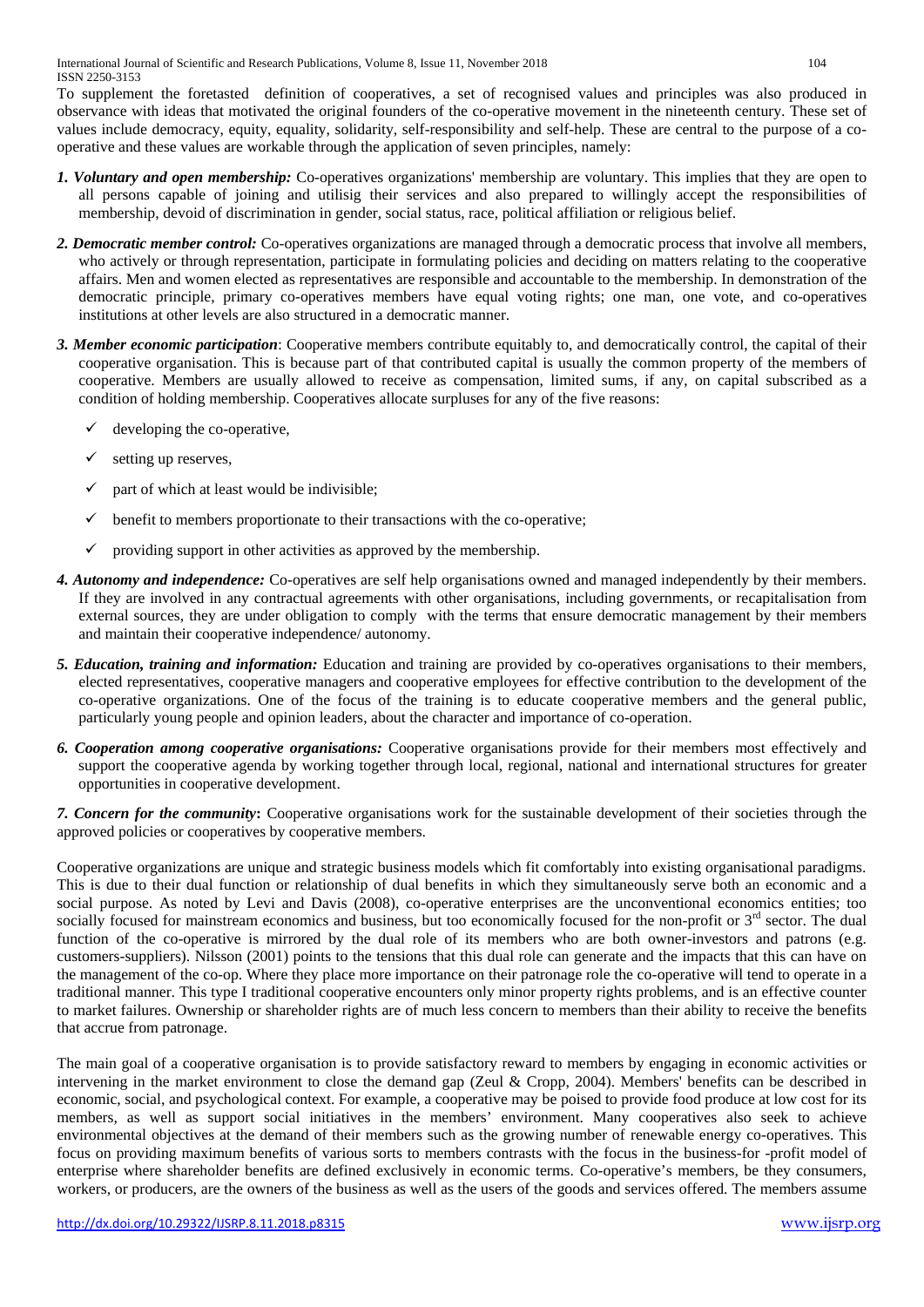To supplement the foretasted definition of cooperatives, a set of recognised values and principles was also produced in observance with ideas that motivated the original founders of the co-operative movement in the nineteenth century. These set of values include democracy, equity, equality, solidarity, self-responsibility and self-help. These are central to the purpose of a cooperative and these values are workable through the application of seven principles, namely:

- *1. Voluntary and open membership:* Co-operatives organizations' membership are voluntary. This implies that they are open to all persons capable of joining and utilisig their services and also prepared to willingly accept the responsibilities of membership, devoid of discrimination in gender, social status, race, political affiliation or religious belief.
- *2. Democratic member control:* Co-operatives organizations are managed through a democratic process that involve all members, who actively or through representation, participate in formulating policies and deciding on matters relating to the cooperative affairs. Men and women elected as representatives are responsible and accountable to the membership. In demonstration of the democratic principle, primary co-operatives members have equal voting rights; one man, one vote, and co-operatives institutions at other levels are also structured in a democratic manner.
- *3. Member economic participation*: Cooperative members contribute equitably to, and democratically control, the capital of their cooperative organisation. This is because part of that contributed capital is usually the common property of the members of cooperative. Members are usually allowed to receive as compensation, limited sums, if any, on capital subscribed as a condition of holding membership. Cooperatives allocate surpluses for any of the five reasons:
	- $\checkmark$  developing the co-operative,
	- setting up reserves,
	- part of which at least would be indivisible;
	- $\checkmark$  benefit to members proportionate to their transactions with the co-operative;
	- providing support in other activities as approved by the membership.
- *4. Autonomy and independence:* Co-operatives are self help organisations owned and managed independently by their members. If they are involved in any contractual agreements with other organisations, including governments, or recapitalisation from external sources, they are under obligation to comply with the terms that ensure democratic management by their members and maintain their cooperative independence/ autonomy.
- *5. Education, training and information:* Education and training are provided by co-operatives organisations to their members, elected representatives, cooperative managers and cooperative employees for effective contribution to the development of the co-operative organizations. One of the focus of the training is to educate cooperative members and the general public, particularly young people and opinion leaders, about the character and importance of co-operation.
- *6. Cooperation among cooperative organisations:* Cooperative organisations provide for their members most effectively and support the cooperative agenda by working together through local, regional, national and international structures for greater opportunities in cooperative development.

*7. Concern for the community***:** Cooperative organisations work for the sustainable development of their societies through the approved policies or cooperatives by cooperative members.

Cooperative organizations are unique and strategic business models which fit comfortably into existing organisational paradigms. This is due to their dual function or relationship of dual benefits in which they simultaneously serve both an economic and a social purpose. As noted by Levi and Davis (2008), co-operative enterprises are the unconventional economics entities; too socially focused for mainstream economics and business, but too economically focused for the non-profit or  $3<sup>rd</sup>$  sector. The dual function of the co-operative is mirrored by the dual role of its members who are both owner-investors and patrons (e.g. customers-suppliers). Nilsson (2001) points to the tensions that this dual role can generate and the impacts that this can have on the management of the co-op. Where they place more importance on their patronage role the co-operative will tend to operate in a traditional manner. This type I traditional cooperative encounters only minor property rights problems, and is an effective counter to market failures. Ownership or shareholder rights are of much less concern to members than their ability to receive the benefits that accrue from patronage.

The main goal of a cooperative organisation is to provide satisfactory reward to members by engaging in economic activities or intervening in the market environment to close the demand gap (Zeul & Cropp, 2004). Members' benefits can be described in economic, social, and psychological context. For example, a cooperative may be poised to provide food produce at low cost for its members, as well as support social initiatives in the members' environment. Many cooperatives also seek to achieve environmental objectives at the demand of their members such as the growing number of renewable energy co-operatives. This focus on providing maximum benefits of various sorts to members contrasts with the focus in the business-for -profit model of enterprise where shareholder benefits are defined exclusively in economic terms. Co-operative's members, be they consumers, workers, or producers, are the owners of the business as well as the users of the goods and services offered. The members assume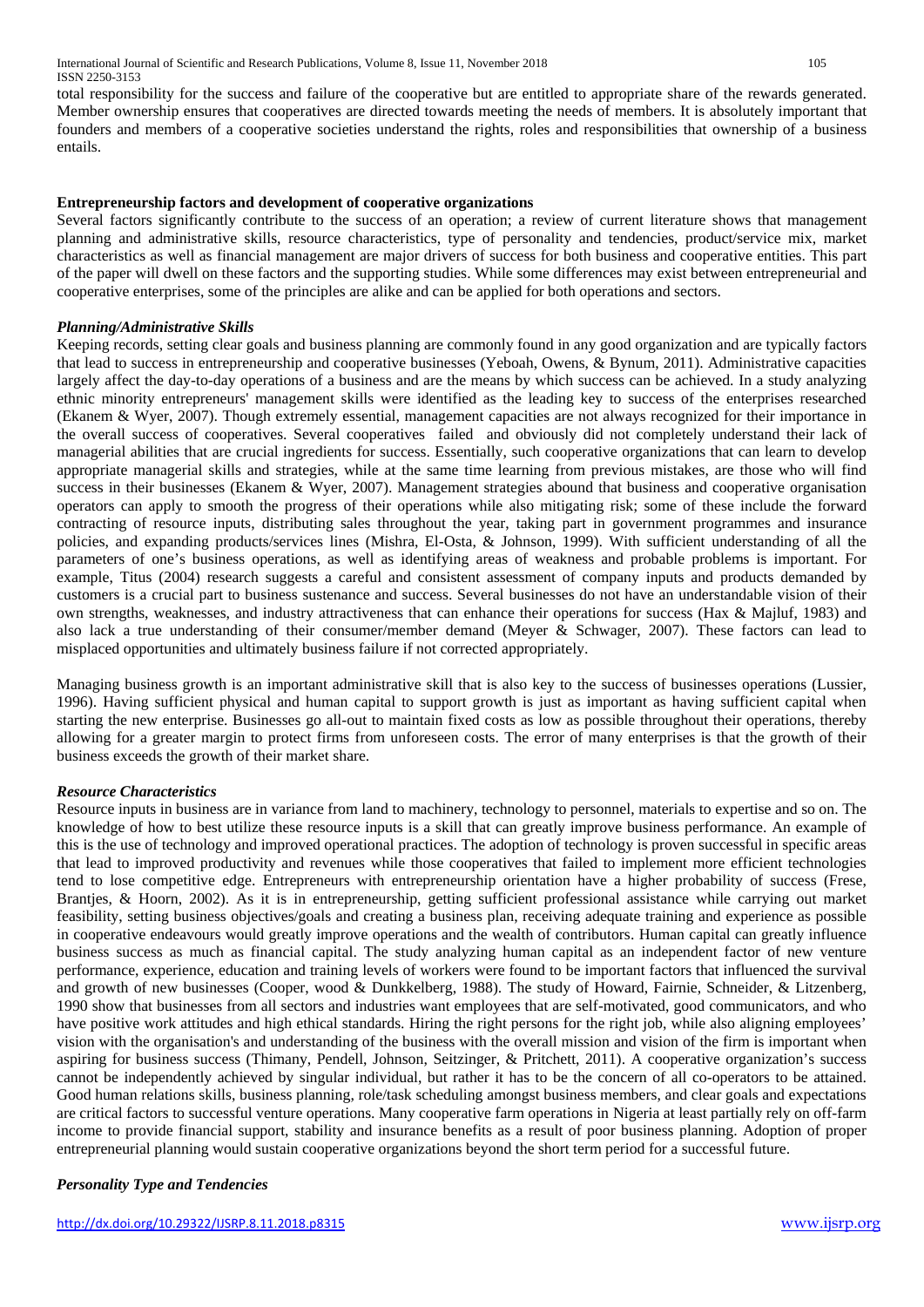total responsibility for the success and failure of the cooperative but are entitled to appropriate share of the rewards generated. Member ownership ensures that cooperatives are directed towards meeting the needs of members. It is absolutely important that founders and members of a cooperative societies understand the rights, roles and responsibilities that ownership of a business entails.

### **Entrepreneurship factors and development of cooperative organizations**

Several factors significantly contribute to the success of an operation; a review of current literature shows that management planning and administrative skills, resource characteristics, type of personality and tendencies, product/service mix, market characteristics as well as financial management are major drivers of success for both business and cooperative entities. This part of the paper will dwell on these factors and the supporting studies. While some differences may exist between entrepreneurial and cooperative enterprises, some of the principles are alike and can be applied for both operations and sectors.

#### *Planning/Administrative Skills*

Keeping records, setting clear goals and business planning are commonly found in any good organization and are typically factors that lead to success in entrepreneurship and cooperative businesses (Yeboah, Owens, & Bynum, 2011). Administrative capacities largely affect the day-to-day operations of a business and are the means by which success can be achieved. In a study analyzing ethnic minority entrepreneurs' management skills were identified as the leading key to success of the enterprises researched (Ekanem & Wyer, 2007). Though extremely essential, management capacities are not always recognized for their importance in the overall success of cooperatives. Several cooperatives failed and obviously did not completely understand their lack of managerial abilities that are crucial ingredients for success. Essentially, such cooperative organizations that can learn to develop appropriate managerial skills and strategies, while at the same time learning from previous mistakes, are those who will find success in their businesses (Ekanem & Wyer, 2007). Management strategies abound that business and cooperative organisation operators can apply to smooth the progress of their operations while also mitigating risk; some of these include the forward contracting of resource inputs, distributing sales throughout the year, taking part in government programmes and insurance policies, and expanding products/services lines (Mishra, El-Osta, & Johnson, 1999). With sufficient understanding of all the parameters of one's business operations, as well as identifying areas of weakness and probable problems is important. For example, Titus (2004) research suggests a careful and consistent assessment of company inputs and products demanded by customers is a crucial part to business sustenance and success. Several businesses do not have an understandable vision of their own strengths, weaknesses, and industry attractiveness that can enhance their operations for success (Hax & Majluf, 1983) and also lack a true understanding of their consumer/member demand (Meyer & Schwager, 2007). These factors can lead to misplaced opportunities and ultimately business failure if not corrected appropriately.

Managing business growth is an important administrative skill that is also key to the success of businesses operations (Lussier, 1996). Having sufficient physical and human capital to support growth is just as important as having sufficient capital when starting the new enterprise. Businesses go all-out to maintain fixed costs as low as possible throughout their operations, thereby allowing for a greater margin to protect firms from unforeseen costs. The error of many enterprises is that the growth of their business exceeds the growth of their market share.

#### *Resource Characteristics*

Resource inputs in business are in variance from land to machinery, technology to personnel, materials to expertise and so on. The knowledge of how to best utilize these resource inputs is a skill that can greatly improve business performance. An example of this is the use of technology and improved operational practices. The adoption of technology is proven successful in specific areas that lead to improved productivity and revenues while those cooperatives that failed to implement more efficient technologies tend to lose competitive edge. Entrepreneurs with entrepreneurship orientation have a higher probability of success (Frese, Brantjes, & Hoorn, 2002). As it is in entrepreneurship, getting sufficient professional assistance while carrying out market feasibility, setting business objectives/goals and creating a business plan, receiving adequate training and experience as possible in cooperative endeavours would greatly improve operations and the wealth of contributors. Human capital can greatly influence business success as much as financial capital. The study analyzing human capital as an independent factor of new venture performance, experience, education and training levels of workers were found to be important factors that influenced the survival and growth of new businesses (Cooper, wood & Dunkkelberg, 1988). The study of Howard, Fairnie, Schneider, & Litzenberg, 1990 show that businesses from all sectors and industries want employees that are self-motivated, good communicators, and who have positive work attitudes and high ethical standards. Hiring the right persons for the right job, while also aligning employees' vision with the organisation's and understanding of the business with the overall mission and vision of the firm is important when aspiring for business success (Thimany, Pendell, Johnson, Seitzinger, & Pritchett, 2011). A cooperative organization's success cannot be independently achieved by singular individual, but rather it has to be the concern of all co-operators to be attained. Good human relations skills, business planning, role/task scheduling amongst business members, and clear goals and expectations are critical factors to successful venture operations. Many cooperative farm operations in Nigeria at least partially rely on off-farm income to provide financial support, stability and insurance benefits as a result of poor business planning. Adoption of proper entrepreneurial planning would sustain cooperative organizations beyond the short term period for a successful future.

#### *Personality Type and Tendencies*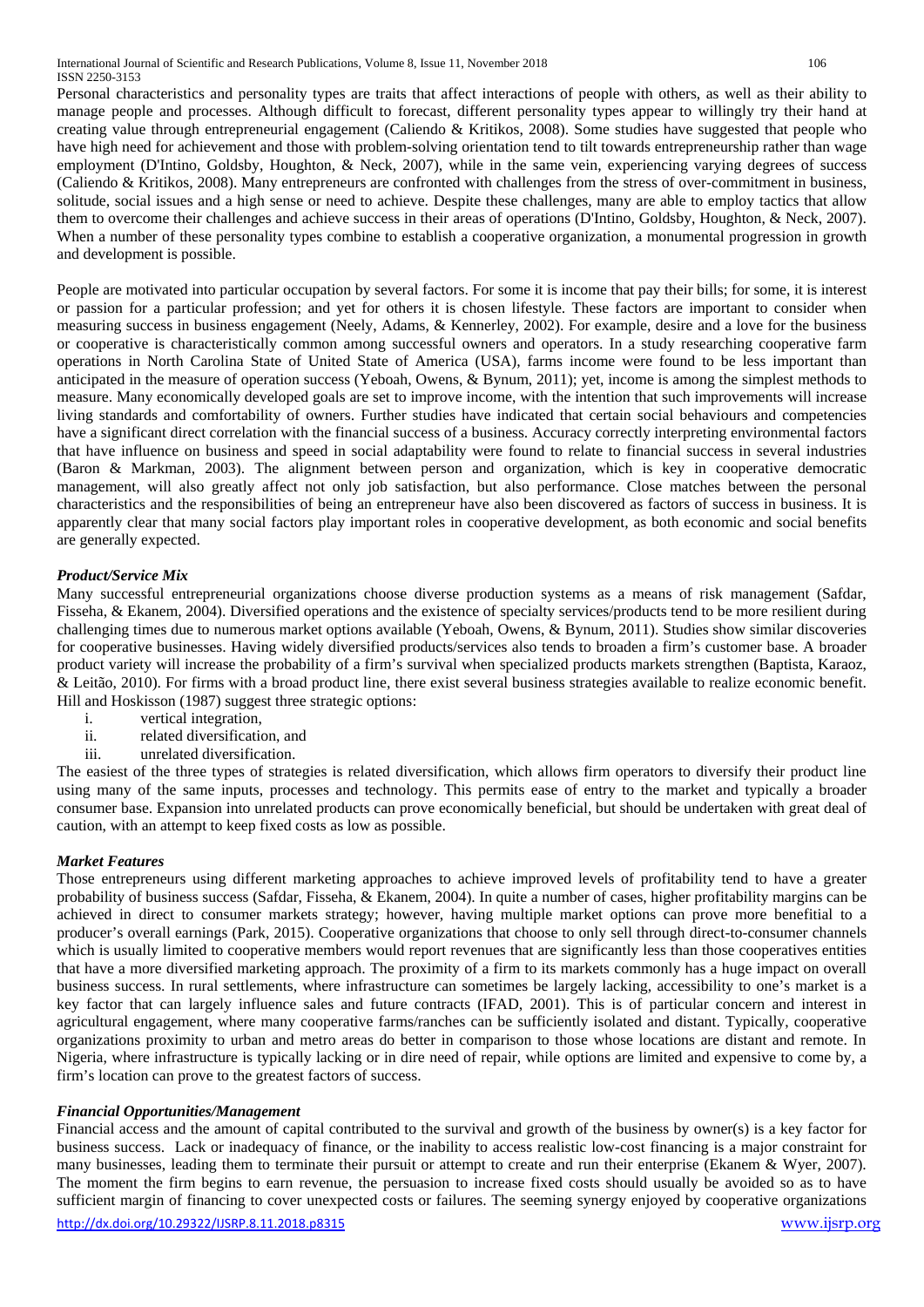Personal characteristics and personality types are traits that affect interactions of people with others, as well as their ability to manage people and processes. Although difficult to forecast, different personality types appear to willingly try their hand at creating value through entrepreneurial engagement (Caliendo & Kritikos, 2008). Some studies have suggested that people who have high need for achievement and those with problem-solving orientation tend to tilt towards entrepreneurship rather than wage employment (D'Intino, Goldsby, Houghton, & Neck, 2007), while in the same vein, experiencing varying degrees of success (Caliendo & Kritikos, 2008). Many entrepreneurs are confronted with challenges from the stress of over-commitment in business, solitude, social issues and a high sense or need to achieve. Despite these challenges, many are able to employ tactics that allow them to overcome their challenges and achieve success in their areas of operations (D'Intino, Goldsby, Houghton, & Neck, 2007). When a number of these personality types combine to establish a cooperative organization, a monumental progression in growth and development is possible.

People are motivated into particular occupation by several factors. For some it is income that pay their bills; for some, it is interest or passion for a particular profession; and yet for others it is chosen lifestyle. These factors are important to consider when measuring success in business engagement (Neely, Adams, & Kennerley, 2002). For example, desire and a love for the business or cooperative is characteristically common among successful owners and operators. In a study researching cooperative farm operations in North Carolina State of United State of America (USA), farms income were found to be less important than anticipated in the measure of operation success (Yeboah, Owens, & Bynum, 2011); yet, income is among the simplest methods to measure. Many economically developed goals are set to improve income, with the intention that such improvements will increase living standards and comfortability of owners. Further studies have indicated that certain social behaviours and competencies have a significant direct correlation with the financial success of a business. Accuracy correctly interpreting environmental factors that have influence on business and speed in social adaptability were found to relate to financial success in several industries (Baron & Markman, 2003). The alignment between person and organization, which is key in cooperative democratic management, will also greatly affect not only job satisfaction, but also performance. Close matches between the personal characteristics and the responsibilities of being an entrepreneur have also been discovered as factors of success in business. It is apparently clear that many social factors play important roles in cooperative development, as both economic and social benefits are generally expected.

#### *Product/Service Mix*

Many successful entrepreneurial organizations choose diverse production systems as a means of risk management (Safdar, Fisseha, & Ekanem, 2004). Diversified operations and the existence of specialty services/products tend to be more resilient during challenging times due to numerous market options available (Yeboah, Owens, & Bynum, 2011). Studies show similar discoveries for cooperative businesses. Having widely diversified products/services also tends to broaden a firm's customer base. A broader product variety will increase the probability of a firm's survival when specialized products markets strengthen (Baptista, Karaoz, & Leitão, 2010). For firms with a broad product line, there exist several business strategies available to realize economic benefit. Hill and Hoskisson (1987) suggest three strategic options:

- i. vertical integration,
- ii. related diversification, and
- iii. unrelated diversification.

The easiest of the three types of strategies is related diversification, which allows firm operators to diversify their product line using many of the same inputs, processes and technology. This permits ease of entry to the market and typically a broader consumer base. Expansion into unrelated products can prove economically beneficial, but should be undertaken with great deal of caution, with an attempt to keep fixed costs as low as possible.

# *Market Features*

Those entrepreneurs using different marketing approaches to achieve improved levels of profitability tend to have a greater probability of business success (Safdar, Fisseha, & Ekanem, 2004). In quite a number of cases, higher profitability margins can be achieved in direct to consumer markets strategy; however, having multiple market options can prove more benefitial to a producer's overall earnings (Park, 2015). Cooperative organizations that choose to only sell through direct-to-consumer channels which is usually limited to cooperative members would report revenues that are significantly less than those cooperatives entities that have a more diversified marketing approach. The proximity of a firm to its markets commonly has a huge impact on overall business success. In rural settlements, where infrastructure can sometimes be largely lacking, accessibility to one's market is a key factor that can largely influence sales and future contracts (IFAD, 2001). This is of particular concern and interest in agricultural engagement, where many cooperative farms/ranches can be sufficiently isolated and distant. Typically, cooperative organizations proximity to urban and metro areas do better in comparison to those whose locations are distant and remote. In Nigeria, where infrastructure is typically lacking or in dire need of repair, while options are limited and expensive to come by, a firm's location can prove to the greatest factors of success.

#### *Financial Opportunities/Management*

<http://dx.doi.org/10.29322/IJSRP.8.11.2018.p8315> [www.ijsrp.org](http://ijsrp.org/) Financial access and the amount of capital contributed to the survival and growth of the business by owner(s) is a key factor for business success. Lack or inadequacy of finance, or the inability to access realistic low-cost financing is a major constraint for many businesses, leading them to terminate their pursuit or attempt to create and run their enterprise (Ekanem & Wyer, 2007). The moment the firm begins to earn revenue, the persuasion to increase fixed costs should usually be avoided so as to have sufficient margin of financing to cover unexpected costs or failures. The seeming synergy enjoyed by cooperative organizations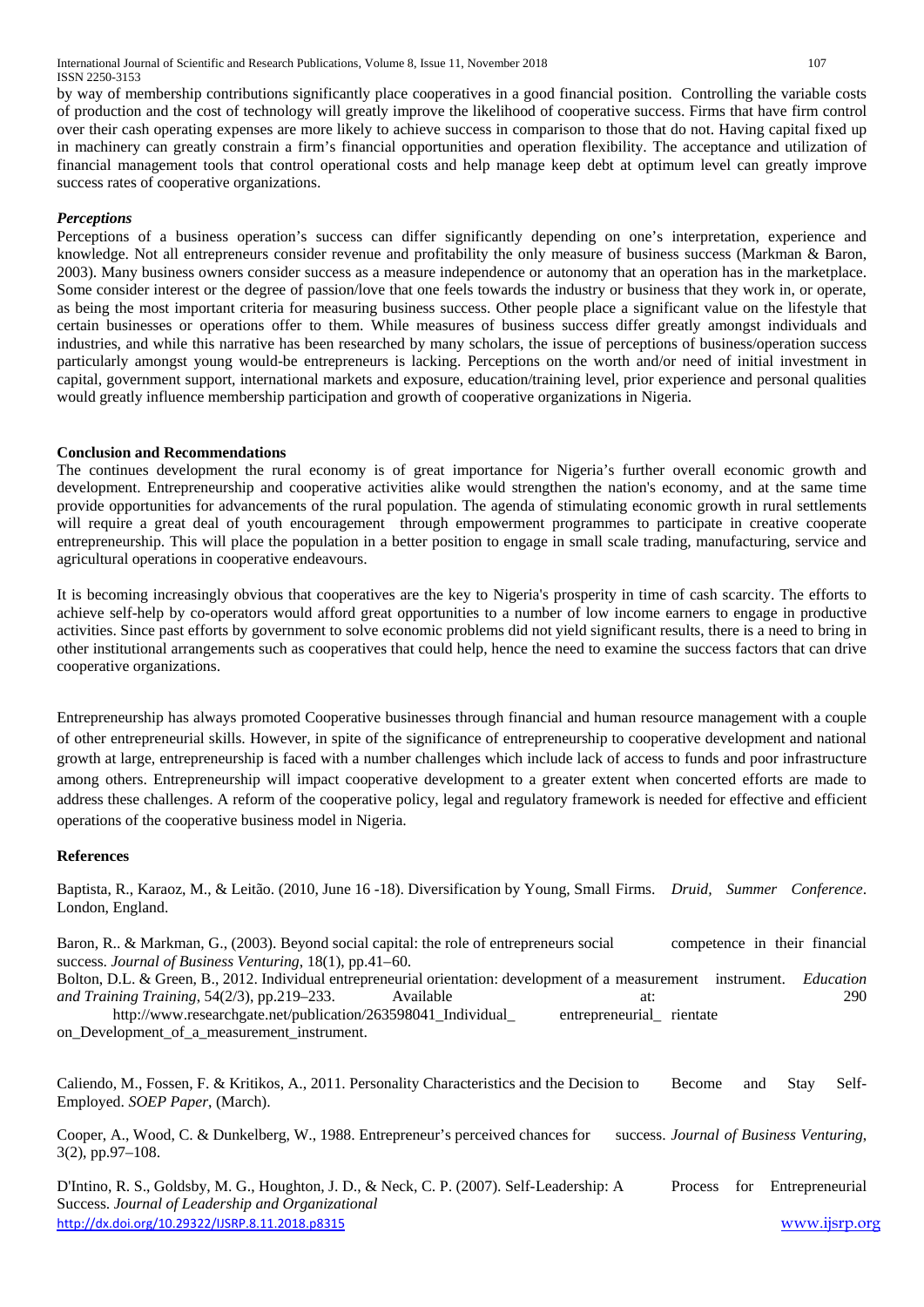International Journal of Scientific and Research Publications, Volume 8, Issue 11, November 2018 107 ISSN 2250-3153

by way of membership contributions significantly place cooperatives in a good financial position. Controlling the variable costs of production and the cost of technology will greatly improve the likelihood of cooperative success. Firms that have firm control over their cash operating expenses are more likely to achieve success in comparison to those that do not. Having capital fixed up in machinery can greatly constrain a firm's financial opportunities and operation flexibility. The acceptance and utilization of financial management tools that control operational costs and help manage keep debt at optimum level can greatly improve success rates of cooperative organizations.

#### *Perceptions*

Perceptions of a business operation's success can differ significantly depending on one's interpretation, experience and knowledge. Not all entrepreneurs consider revenue and profitability the only measure of business success (Markman & Baron, 2003). Many business owners consider success as a measure independence or autonomy that an operation has in the marketplace. Some consider interest or the degree of passion/love that one feels towards the industry or business that they work in, or operate, as being the most important criteria for measuring business success. Other people place a significant value on the lifestyle that certain businesses or operations offer to them. While measures of business success differ greatly amongst individuals and industries, and while this narrative has been researched by many scholars, the issue of perceptions of business/operation success particularly amongst young would-be entrepreneurs is lacking. Perceptions on the worth and/or need of initial investment in capital, government support, international markets and exposure, education/training level, prior experience and personal qualities would greatly influence membership participation and growth of cooperative organizations in Nigeria.

#### **Conclusion and Recommendations**

The continues development the rural economy is of great importance for Nigeria's further overall economic growth and development. Entrepreneurship and cooperative activities alike would strengthen the nation's economy, and at the same time provide opportunities for advancements of the rural population. The agenda of stimulating economic growth in rural settlements will require a great deal of youth encouragement through empowerment programmes to participate in creative cooperate entrepreneurship. This will place the population in a better position to engage in small scale trading, manufacturing, service and agricultural operations in cooperative endeavours.

It is becoming increasingly obvious that cooperatives are the key to Nigeria's prosperity in time of cash scarcity. The efforts to achieve self-help by co-operators would afford great opportunities to a number of low income earners to engage in productive activities. Since past efforts by government to solve economic problems did not yield significant results, there is a need to bring in other institutional arrangements such as cooperatives that could help, hence the need to examine the success factors that can drive cooperative organizations.

Entrepreneurship has always promoted Cooperative businesses through financial and human resource management with a couple of other entrepreneurial skills. However, in spite of the significance of entrepreneurship to cooperative development and national growth at large, entrepreneurship is faced with a number challenges which include lack of access to funds and poor infrastructure among others. Entrepreneurship will impact cooperative development to a greater extent when concerted efforts are made to address these challenges. A reform of the cooperative policy, legal and regulatory framework is needed for effective and efficient operations of the cooperative business model in Nigeria.

#### **References**

Baptista, R., Karaoz, M., & Leitão. (2010, June 16 -18). Diversification by Young, Small Firms. *Druid, Summer Conference*. London, England.

Baron, R.. & Markman, G., (2003). Beyond social capital: the role of entrepreneurs social competence in their financial success. *Journal of Business Venturing*, 18(1), pp.41–60. Bolton, D.L. & Green, B., 2012. Individual entrepreneurial orientation: development of a measurement instrument. *Education and Training Training*, 54(2/3), pp.219–233. Available at: 290 http://www.researchgate.net/publication/263598041 Individual entrepreneurial rientate on Development of a measurement instrument.

Caliendo, M., Fossen, F. & Kritikos, A., 2011. Personality Characteristics and the Decision to Become and Stay Self-Employed. *SOEP Paper*, (March).

Cooper, A., Wood, C. & Dunkelberg, W., 1988. Entrepreneur's perceived chances for success. *Journal of Business Venturing*, 3(2), pp.97–108.

<http://dx.doi.org/10.29322/IJSRP.8.11.2018.p8315> [www.ijsrp.org](http://ijsrp.org/) D'Intino, R. S., Goldsby, M. G., Houghton, J. D., & Neck, C. P. (2007). Self-Leadership: A Process for Entrepreneurial Success. *Journal of Leadership and Organizational*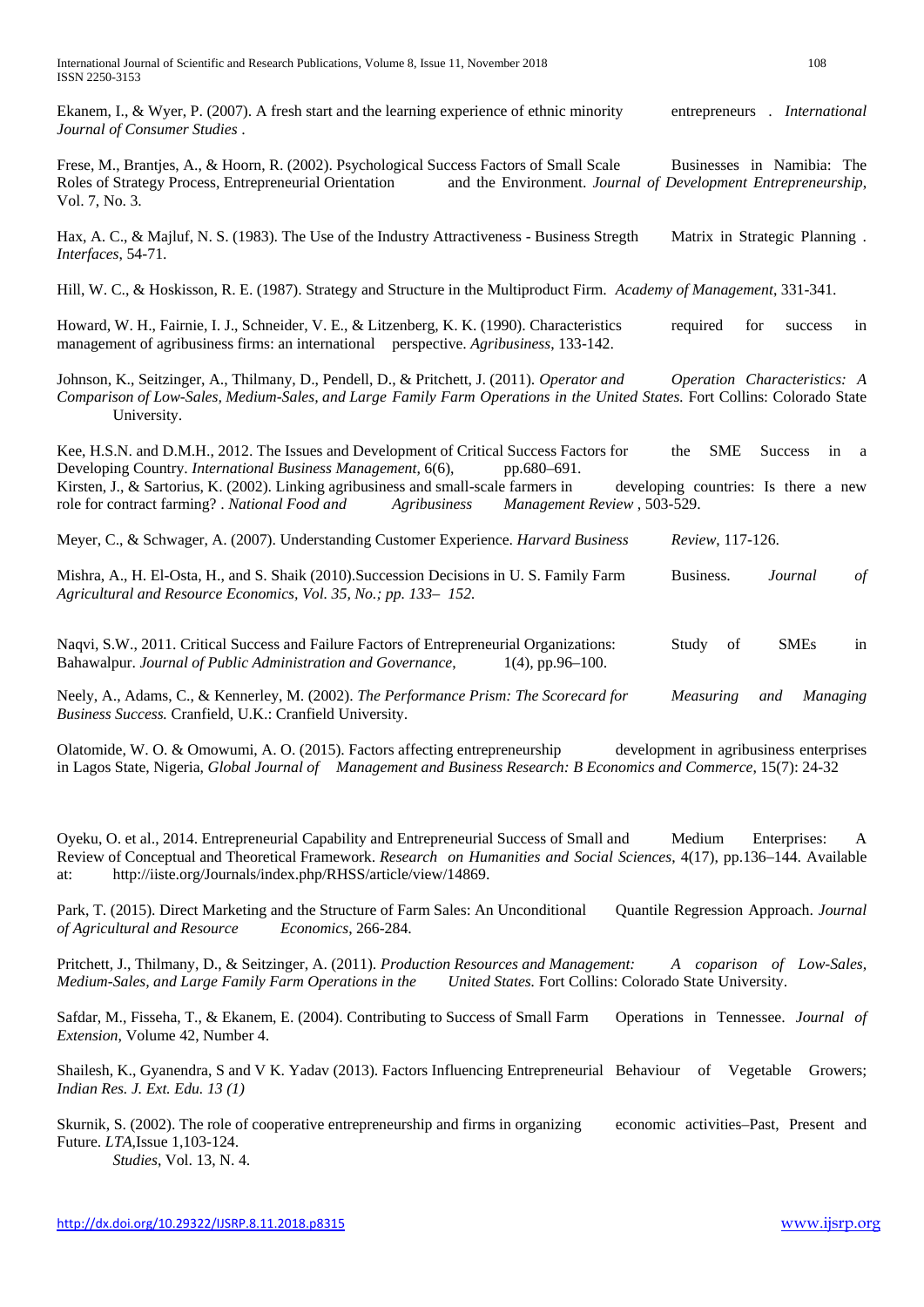Ekanem, I., & Wyer, P. (2007). A fresh start and the learning experience of ethnic minority entrepreneurs . *International Journal of Consumer Studies* .

Frese, M., Brantjes, A., & Hoorn, R. (2002). Psychological Success Factors of Small Scale Businesses in Namibia: The Roles of Strategy Process, Entrepreneurial Orientation and the Environment. *Journal of Development Entrepreneurship*, Vol. 7, No. 3.

Hax, A. C., & Majluf, N. S. (1983). The Use of the Industry Attractiveness - Business Stregth Matrix in Strategic Planning . *Interfaces*, 54-71.

Hill, W. C., & Hoskisson, R. E. (1987). Strategy and Structure in the Multiproduct Firm. *Academy of Management*, 331-341.

Howard, W. H., Fairnie, I. J., Schneider, V. E., & Litzenberg, K. K. (1990). Characteristics required for success in management of agribusiness firms: an international perspective. *Agribusiness*, 133-142.

Johnson, K., Seitzinger, A., Thilmany, D., Pendell, D., & Pritchett, J. (2011). *Operator and Operation Characteristics: A Comparison of Low-Sales, Medium-Sales, and Large Family Farm Operations in the United States.* Fort Collins: Colorado State University.

Kee, H.S.N. and D.M.H., 2012. The Issues and Development of Critical Success Factors for the SME Success in a Developing Country. *International Business Management*, 6(6), pp.680–691. Kirsten, J., & Sartorius, K. (2002). Linking agribusiness and small-scale farmers in developing countries: Is there a new role for contract farming? . *National Food and Agribusiness Management Review* , 503-529.

Meyer, C., & Schwager, A. (2007). Understanding Customer Experience. *Harvard Business Review*, 117-126.

Mishra, A., H. El-Osta, H., and S. Shaik (2010).Succession Decisions in U. S. Family Farm Business. *Journal of Agricultural and Resource Economics, Vol. 35, No.; pp. 133– 152.*

Naqvi, S.W., 2011. Critical Success and Failure Factors of Entrepreneurial Organizations: Study of SMEs in Bahawalpur. *Journal of Public Administration and Governance*, 1(4), pp.96–100.

Neely, A., Adams, C., & Kennerley, M. (2002). *The Performance Prism: The Scorecard for Measuring and Managing Business Success.* Cranfield, U.K.: Cranfield University.

Olatomide, W. O. & Omowumi, A. O. (2015). Factors affecting entrepreneurship development in agribusiness enterprises in Lagos State, Nigeria, *Global Journal of Management and Business Research: B Economics and Commerce*, 15(7): 24-32

Oyeku, O. et al., 2014. Entrepreneurial Capability and Entrepreneurial Success of Small and Medium Enterprises: A Review of Conceptual and Theoretical Framework. *Research on Humanities and Social Sciences*, 4(17), pp.136–144. Available at: http://iiste.org/Journals/index.php/RHSS/article/view/14869.

Park, T. (2015). Direct Marketing and the Structure of Farm Sales: An Unconditional Quantile Regression Approach. *Journal of Agricultural and Resource Economics*, 266-284.

Pritchett, J., Thilmany, D., & Seitzinger, A. (2011). *Production Resources and Management: A coparison of Low-Sales, Medium-Sales, and Large Family Farm Operations in the United States.* Fort Collins: Colorado State University.

Safdar, M., Fisseha, T., & Ekanem, E. (2004). Contributing to Success of Small Farm Operations in Tennessee. *Journal of Extension*, Volume 42, Number 4.

Shailesh, K., Gyanendra, S and V K. Yadav (2013). Factors Influencing Entrepreneurial Behaviour of Vegetable Growers; *Indian Res. J. Ext. Edu. 13 (1)*

Skurnik, S. (2002). The role of cooperative entrepreneurship and firms in organizing economic activities–Past, Present and Future. *LTA*,Issue 1,103-124. *Studies*, Vol. 13, N. 4.

<http://dx.doi.org/10.29322/IJSRP.8.11.2018.p8315> [www.ijsrp.org](http://ijsrp.org/)